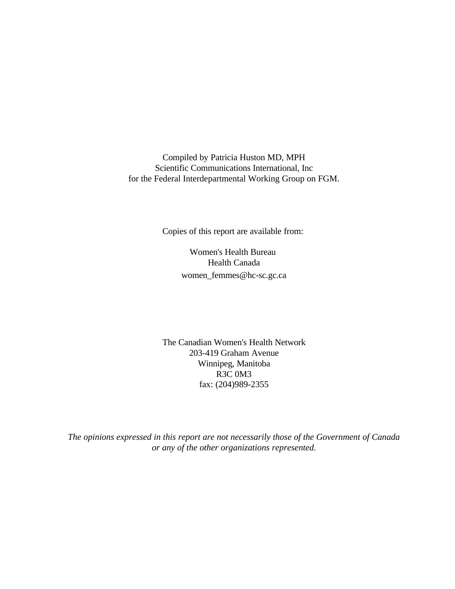Compiled by Patricia Huston MD, MPH Scientific Communications International, Inc for the Federal Interdepartmental Working Group on FGM.

Copies of this report are available from:

Women's Health Bureau Health Canada women\_femmes@hc-sc.gc.ca

The Canadian Women's Health Network 203-419 Graham Avenue Winnipeg, Manitoba R3C 0M3 fax: (204)989-2355

*The opinions expressed in this report are not necessarily those of the Government of Canada or any of the other organizations represented.*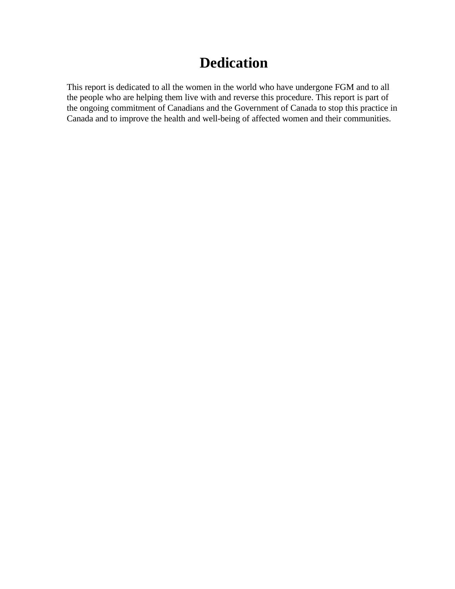# **Dedication**

This report is dedicated to all the women in the world who have undergone FGM and to all the people who are helping them live with and reverse this procedure. This report is part of the ongoing commitment of Canadians and the Government of Canada to stop this practice in Canada and to improve the health and well-being of affected women and their communities.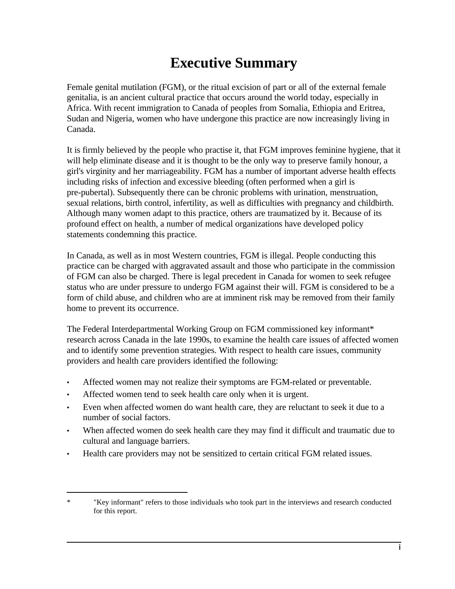# **Executive Summary**

Female genital mutilation (FGM), or the ritual excision of part or all of the external female genitalia, is an ancient cultural practice that occurs around the world today, especially in Africa. With recent immigration to Canada of peoples from Somalia, Ethiopia and Eritrea, Sudan and Nigeria, women who have undergone this practice are now increasingly living in Canada.

It is firmly believed by the people who practise it, that FGM improves feminine hygiene, that it will help eliminate disease and it is thought to be the only way to preserve family honour, a girl's virginity and her marriageability. FGM has a number of important adverse health effects including risks of infection and excessive bleeding (often performed when a girl is pre-pubertal). Subsequently there can be chronic problems with urination, menstruation, sexual relations, birth control, infertility, as well as difficulties with pregnancy and childbirth. Although many women adapt to this practice, others are traumatized by it. Because of its profound effect on health, a number of medical organizations have developed policy statements condemning this practice.

In Canada, as well as in most Western countries, FGM is illegal. People conducting this practice can be charged with aggravated assault and those who participate in the commission of FGM can also be charged. There is legal precedent in Canada for women to seek refugee status who are under pressure to undergo FGM against their will. FGM is considered to be a form of child abuse, and children who are at imminent risk may be removed from their family home to prevent its occurrence.

The Federal Interdepartmental Working Group on FGM commissioned key informant\* research across Canada in the late 1990s, to examine the health care issues of affected women and to identify some prevention strategies. With respect to health care issues, community providers and health care providers identified the following:

- Affected women may not realize their symptoms are FGM-related or preventable.
- Affected women tend to seek health care only when it is urgent.
- Even when affected women do want health care, they are reluctant to seek it due to a number of social factors.
- When affected women do seek health care they may find it difficult and traumatic due to cultural and language barriers.
- Health care providers may not be sensitized to certain critical FGM related issues.

<sup>\* &</sup>quot;Key informant" refers to those individuals who took part in the interviews and research conducted for this report.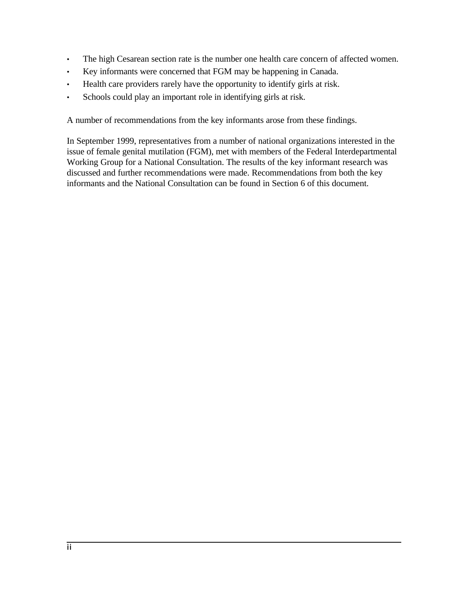- The high Cesarean section rate is the number one health care concern of affected women.
- Key informants were concerned that FGM may be happening in Canada.
- Health care providers rarely have the opportunity to identify girls at risk.
- Schools could play an important role in identifying girls at risk.

A number of recommendations from the key informants arose from these findings.

In September 1999, representatives from a number of national organizations interested in the issue of female genital mutilation (FGM), met with members of the Federal Interdepartmental Working Group for a National Consultation. The results of the key informant research was discussed and further recommendations were made. Recommendations from both the key informants and the National Consultation can be found in Section 6 of this document.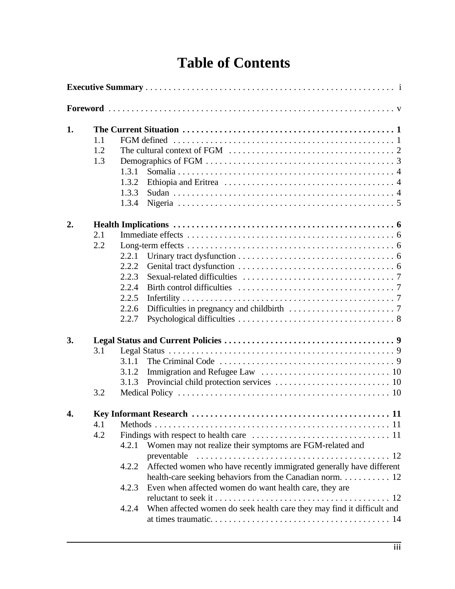# **Table of Contents**

| 1. | 1.1<br>1.2<br>1.3 | The cultural context of FGM $\ldots \ldots \ldots \ldots \ldots \ldots \ldots \ldots \ldots \ldots 2$<br>1.3.1<br>1.3.2<br>1.3.3                                                                                                                                                                                                                                            |  |  |  |
|----|-------------------|-----------------------------------------------------------------------------------------------------------------------------------------------------------------------------------------------------------------------------------------------------------------------------------------------------------------------------------------------------------------------------|--|--|--|
| 2. |                   | 1.3.4                                                                                                                                                                                                                                                                                                                                                                       |  |  |  |
|    | 2.1<br>2.2        | 2.2.1<br>2.2.2<br>2.2.3<br>2.2.4<br>2.2.5<br>2.2.6<br>2.2.7                                                                                                                                                                                                                                                                                                                 |  |  |  |
| 3. |                   |                                                                                                                                                                                                                                                                                                                                                                             |  |  |  |
|    | 3.1<br>3.2        | 3.1.1<br>3.1.2<br>3.1.3                                                                                                                                                                                                                                                                                                                                                     |  |  |  |
| 4. | 4.1<br>4.2        | -11<br>Women may not realize their symptoms are FGM-related and<br>4.2.1<br>Affected women who have recently immigrated generally have different<br>4.2.2<br>health-care seeking behaviors from the Canadian norm. 12<br>Even when affected women do want health care, they are<br>4.2.3<br>When affected women do seek health care they may find it difficult and<br>4.2.4 |  |  |  |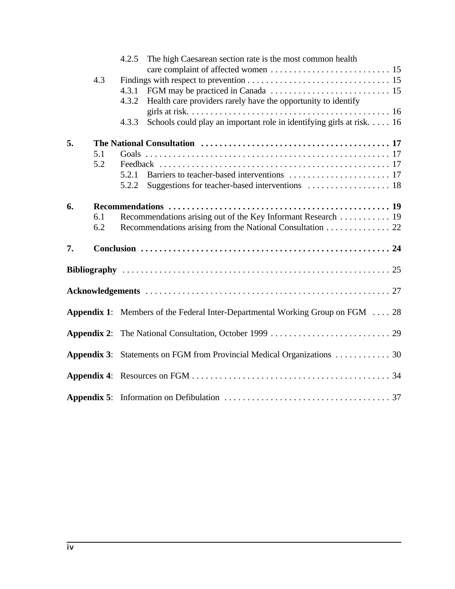|    |     | 4.2.5 The high Caesarean section rate is the most common health                       |
|----|-----|---------------------------------------------------------------------------------------|
|    | 4.3 |                                                                                       |
|    |     | 4.3.1                                                                                 |
|    |     | Health care providers rarely have the opportunity to identify<br>4.3.2                |
|    |     |                                                                                       |
|    |     | Schools could play an important role in identifying girls at risk. 16<br>4.3.3        |
| 5. |     |                                                                                       |
|    | 5.1 |                                                                                       |
|    | 5.2 |                                                                                       |
|    |     |                                                                                       |
|    |     | 5.2.2                                                                                 |
| 6. |     |                                                                                       |
|    | 6.1 | Recommendations arising out of the Key Informant Research 19                          |
|    | 6.2 | Recommendations arising from the National Consultation 22                             |
| 7. |     |                                                                                       |
|    |     |                                                                                       |
|    |     |                                                                                       |
|    |     | <b>Appendix 1:</b> Members of the Federal Inter-Departmental Working Group on FGM  28 |
|    |     |                                                                                       |
|    |     | <b>Appendix 3:</b> Statements on FGM from Provincial Medical Organizations 30         |
|    |     |                                                                                       |
|    |     |                                                                                       |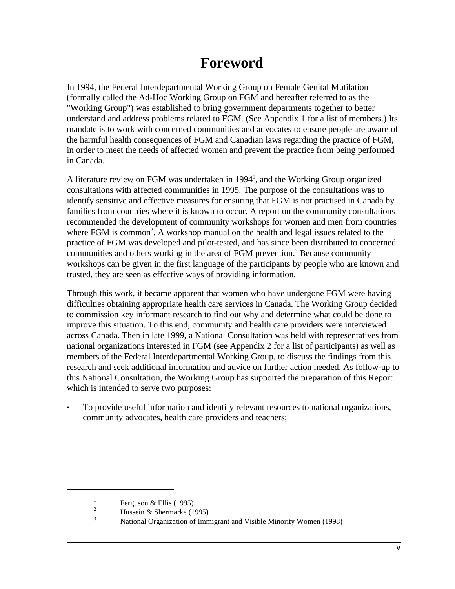# **Foreword**

In 1994, the Federal Interdepartmental Working Group on Female Genital Mutilation (formally called the Ad-Hoc Working Group on FGM and hereafter referred to as the "Working Group") was established to bring government departments together to better understand and address problems related to FGM. (See Appendix 1 for a list of members.) Its mandate is to work with concerned communities and advocates to ensure people are aware of the harmful health consequences of FGM and Canadian laws regarding the practice of FGM, in order to meet the needs of affected women and prevent the practice from being performed in Canada.

A literature review on FGM was undertaken in 1994<sup>1</sup>, and the Working Group organized consultations with affected communities in 1995. The purpose of the consultations was to identify sensitive and effective measures for ensuring that FGM is not practised in Canada by families from countries where it is known to occur. A report on the community consultations recommended the development of community workshops for women and men from countries where FGM is common<sup>2</sup>. A workshop manual on the health and legal issues related to the practice of FGM was developed and pilot-tested, and has since been distributed to concerned communities and others working in the area of FGM prevention.<sup>3</sup> Because community workshops can be given in the first language of the participants by people who are known and trusted, they are seen as effective ways of providing information.

Through this work, it became apparent that women who have undergone FGM were having difficulties obtaining appropriate health care services in Canada. The Working Group decided to commission key informant research to find out why and determine what could be done to improve this situation. To this end, community and health care providers were interviewed across Canada. Then in late 1999, a National Consultation was held with representatives from national organizations interested in FGM (see Appendix 2 for a list of participants) as well as members of the Federal Interdepartmental Working Group, to discuss the findings from this research and seek additional information and advice on further action needed. As follow-up to this National Consultation, the Working Group has supported the preparation of this Report which is intended to serve two purposes:

• To provide useful information and identify relevant resources to national organizations, community advocates, health care providers and teachers;

<sup>1</sup> Ferguson & Ellis (1995)

<sup>&</sup>lt;sup>2</sup><br>Hussein & Shermarke (1995)

<sup>3</sup> National Organization of Immigrant and Visible Minority Women (1998)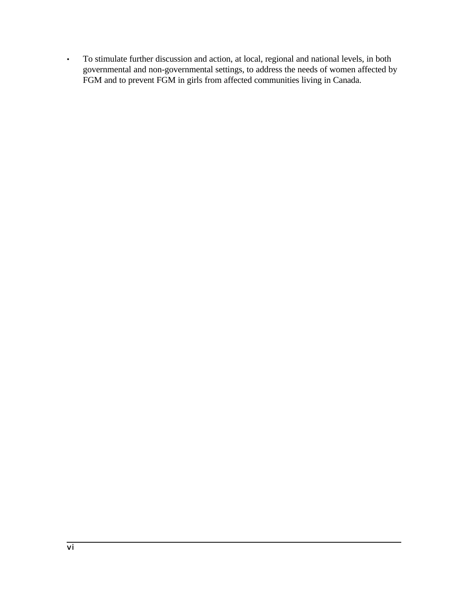• To stimulate further discussion and action, at local, regional and national levels, in both governmental and non-governmental settings, to address the needs of women affected by FGM and to prevent FGM in girls from affected communities living in Canada.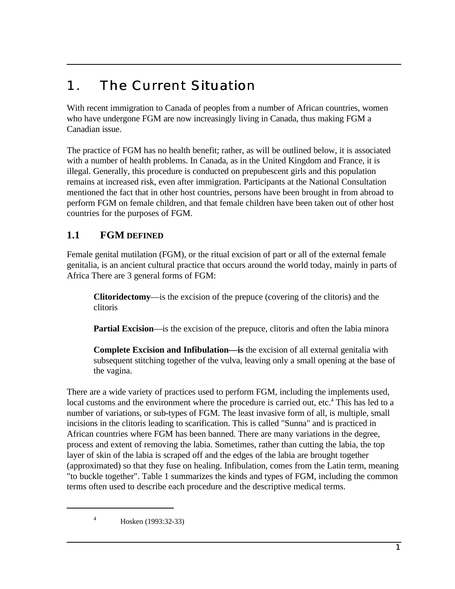# 1. The Current Situation

With recent immigration to Canada of peoples from a number of African countries, women who have undergone FGM are now increasingly living in Canada, thus making FGM a Canadian issue.

The practice of FGM has no health benefit; rather, as will be outlined below, it is associated with a number of health problems. In Canada, as in the United Kingdom and France, it is illegal. Generally, this procedure is conducted on prepubescent girls and this population remains at increased risk, even after immigration. Participants at the National Consultation mentioned the fact that in other host countries, persons have been brought in from abroad to perform FGM on female children, and that female children have been taken out of other host countries for the purposes of FGM.

## **1.1 FGM DEFINED**

Female genital mutilation (FGM), or the ritual excision of part or all of the external female genitalia, is an ancient cultural practice that occurs around the world today, mainly in parts of Africa There are 3 general forms of FGM:

**Clitoridectomy**—is the excision of the prepuce (covering of the clitoris) and the clitoris

**Partial Excision**—is the excision of the prepuce, clitoris and often the labia minora

**Complete Excision and Infibulation—is** the excision of all external genitalia with subsequent stitching together of the vulva, leaving only a small opening at the base of the vagina.

There are a wide variety of practices used to perform FGM, including the implements used, local customs and the environment where the procedure is carried out, etc.<sup>4</sup> This has led to a number of variations, or sub-types of FGM. The least invasive form of all, is multiple, small incisions in the clitoris leading to scarification. This is called "Sunna" and is practiced in African countries where FGM has been banned. There are many variations in the degree, process and extent of removing the labia. Sometimes, rather than cutting the labia, the top layer of skin of the labia is scraped off and the edges of the labia are brought together (approximated) so that they fuse on healing. Infibulation, comes from the Latin term, meaning "to buckle together". Table 1 summarizes the kinds and types of FGM, including the common terms often used to describe each procedure and the descriptive medical terms.

<sup>4</sup> Hosken (1993:32-33)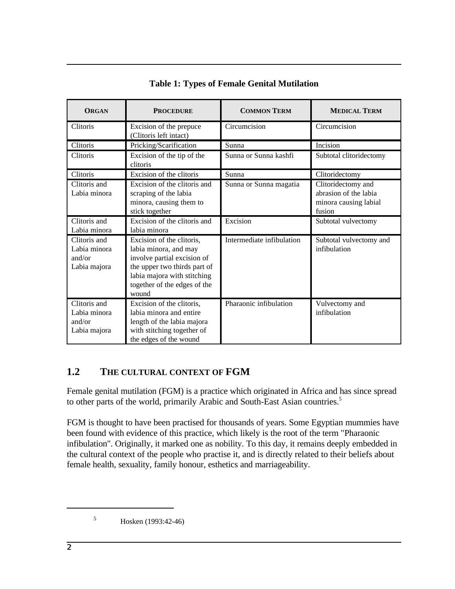| <b>ORGAN</b>                                           | <b>PROCEDURE</b>                                                                                                                                                                          | <b>COMMON TERM</b>        | <b>MEDICAL TERM</b>                                                            |  |
|--------------------------------------------------------|-------------------------------------------------------------------------------------------------------------------------------------------------------------------------------------------|---------------------------|--------------------------------------------------------------------------------|--|
| Clitoris                                               | Excision of the prepuce<br>(Clitoris left intact)                                                                                                                                         | Circumcision              | Circumcision                                                                   |  |
| Clitoris                                               | Pricking/Scarification                                                                                                                                                                    | Sunna                     | Incision                                                                       |  |
| Clitoris                                               | Excision of the tip of the<br>clitoris                                                                                                                                                    | Sunna or Sunna kashfi     | Subtotal clitoridectomy                                                        |  |
| Clitoris                                               | Excision of the clitoris                                                                                                                                                                  | Sunna                     | Clitoridectomy                                                                 |  |
| Clitoris and<br>Labia minora                           | Excision of the clitoris and<br>scraping of the labia<br>minora, causing them to<br>stick together                                                                                        | Sunna or Sunna magatia    | Clitoridectomy and<br>abrasion of the labia<br>minora causing labial<br>fusion |  |
| Clitoris and<br>Labia minora                           | Excision of the clitoris and<br>labia minora                                                                                                                                              | Excision                  | Subtotal vulvectomy                                                            |  |
| Clitoris and<br>Labia minora<br>and/or<br>Labia majora | Excision of the clitoris,<br>labia minora, and may<br>involve partial excision of<br>the upper two thirds part of<br>labia majora with stitching<br>together of the edges of the<br>wound | Intermediate infibulation | Subtotal vulvectomy and<br>infibulation                                        |  |
| Clitoris and<br>Labia minora<br>and/or<br>Labia majora | Excision of the clitoris,<br>labia minora and entire<br>length of the labia majora<br>with stitching together of<br>the edges of the wound                                                | Pharaonic infibulation    | Vulvectomy and<br>infibulation                                                 |  |

## **Table 1: Types of Female Genital Mutilation**

## **1.2 THE CULTURAL CONTEXT OF FGM**

Female genital mutilation (FGM) is a practice which originated in Africa and has since spread to other parts of the world, primarily Arabic and South-East Asian countries.<sup>5</sup>

FGM is thought to have been practised for thousands of years. Some Egyptian mummies have been found with evidence of this practice, which likely is the root of the term "Pharaonic infibulation". Originally, it marked one as nobility. To this day, it remains deeply embedded in the cultural context of the people who practise it, and is directly related to their beliefs about female health, sexuality, family honour, esthetics and marriageability.

<sup>5</sup> Hosken (1993:42-46)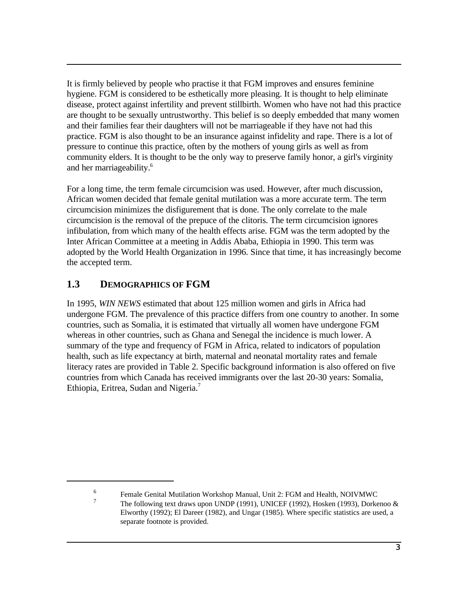It is firmly believed by people who practise it that FGM improves and ensures feminine hygiene. FGM is considered to be esthetically more pleasing. It is thought to help eliminate disease, protect against infertility and prevent stillbirth. Women who have not had this practice are thought to be sexually untrustworthy. This belief is so deeply embedded that many women and their families fear their daughters will not be marriageable if they have not had this practice. FGM is also thought to be an insurance against infidelity and rape. There is a lot of pressure to continue this practice, often by the mothers of young girls as well as from community elders. It is thought to be the only way to preserve family honor, a girl's virginity and her marriageability.<sup>6</sup>

For a long time, the term female circumcision was used. However, after much discussion, African women decided that female genital mutilation was a more accurate term. The term circumcision minimizes the disfigurement that is done. The only correlate to the male circumcision is the removal of the prepuce of the clitoris. The term circumcision ignores infibulation, from which many of the health effects arise. FGM was the term adopted by the Inter African Committee at a meeting in Addis Ababa, Ethiopia in 1990. This term was adopted by the World Health Organization in 1996. Since that time, it has increasingly become the accepted term.

## **1.3 DEMOGRAPHICS OF FGM**

In 1995, *WIN NEWS* estimated that about 125 million women and girls in Africa had undergone FGM. The prevalence of this practice differs from one country to another. In some countries, such as Somalia, it is estimated that virtually all women have undergone FGM whereas in other countries, such as Ghana and Senegal the incidence is much lower. A summary of the type and frequency of FGM in Africa, related to indicators of population health, such as life expectancy at birth, maternal and neonatal mortality rates and female literacy rates are provided in Table 2. Specific background information is also offered on five countries from which Canada has received immigrants over the last 20-30 years: Somalia, Ethiopia, Eritrea, Sudan and Nigeria.7

<sup>6</sup> 7

Female Genital Mutilation Workshop Manual, Unit 2: FGM and Health, NOIVMWC The following text draws upon UNDP (1991), UNICEF (1992), Hosken (1993), Dorkenoo & Elworthy (1992); El Dareer (1982), and Ungar (1985). Where specific statistics are used, a separate footnote is provided.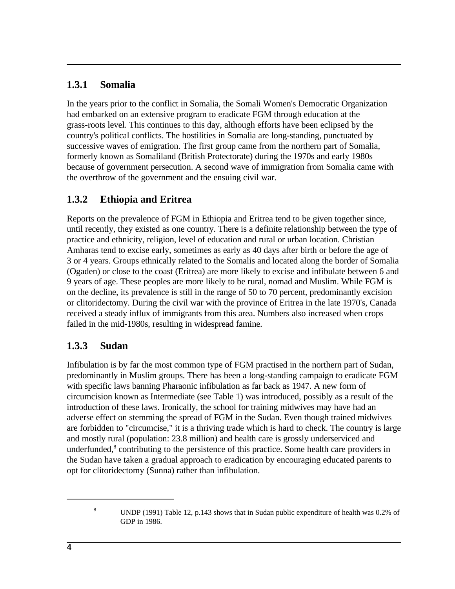## **1.3.1 Somalia**

In the years prior to the conflict in Somalia, the Somali Women's Democratic Organization had embarked on an extensive program to eradicate FGM through education at the grass-roots level. This continues to this day, although efforts have been eclipsed by the country's political conflicts. The hostilities in Somalia are long-standing, punctuated by successive waves of emigration. The first group came from the northern part of Somalia, formerly known as Somaliland (British Protectorate) during the 1970s and early 1980s because of government persecution. A second wave of immigration from Somalia came with the overthrow of the government and the ensuing civil war.

## **1.3.2 Ethiopia and Eritrea**

Reports on the prevalence of FGM in Ethiopia and Eritrea tend to be given together since, until recently, they existed as one country. There is a definite relationship between the type of practice and ethnicity, religion, level of education and rural or urban location. Christian Amharas tend to excise early, sometimes as early as 40 days after birth or before the age of 3 or 4 years. Groups ethnically related to the Somalis and located along the border of Somalia (Ogaden) or close to the coast (Eritrea) are more likely to excise and infibulate between 6 and 9 years of age. These peoples are more likely to be rural, nomad and Muslim. While FGM is on the decline, its prevalence is still in the range of 50 to 70 percent, predominantly excision or clitoridectomy. During the civil war with the province of Eritrea in the late 1970's, Canada received a steady influx of immigrants from this area. Numbers also increased when crops failed in the mid-1980s, resulting in widespread famine.

## **1.3.3 Sudan**

Infibulation is by far the most common type of FGM practised in the northern part of Sudan, predominantly in Muslim groups. There has been a long-standing campaign to eradicate FGM with specific laws banning Pharaonic infibulation as far back as 1947. A new form of circumcision known as Intermediate (see Table 1) was introduced, possibly as a result of the introduction of these laws. Ironically, the school for training midwives may have had an adverse effect on stemming the spread of FGM in the Sudan. Even though trained midwives are forbidden to "circumcise," it is a thriving trade which is hard to check. The country is large and mostly rural (population: 23.8 million) and health care is grossly underserviced and underfunded,<sup>8</sup> contributing to the persistence of this practice. Some health care providers in the Sudan have taken a gradual approach to eradication by encouraging educated parents to opt for clitoridectomy (Sunna) rather than infibulation.

<sup>8</sup> UNDP (1991) Table 12, p.143 shows that in Sudan public expenditure of health was 0.2% of GDP in 1986.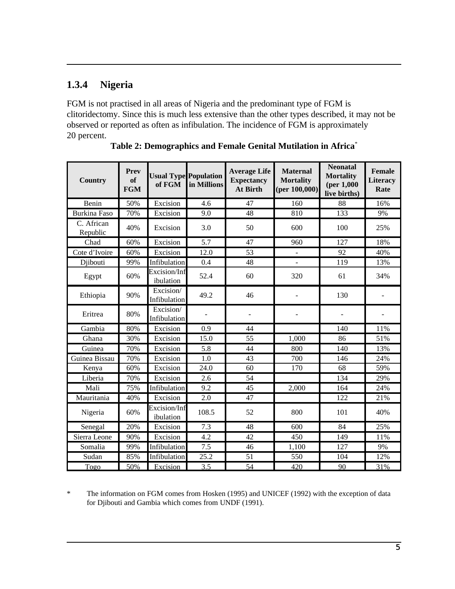# **1.3.4 Nigeria**

FGM is not practised in all areas of Nigeria and the predominant type of FGM is clitoridectomy. Since this is much less extensive than the other types described, it may not be observed or reported as often as infibulation. The incidence of FGM is approximately 20 percent.

| <b>Country</b>         | Prev<br>of<br><b>FGM</b> | of FGM                    | <b>Usual Type Population</b><br>in Millions | <b>Average Life</b><br><b>Expectancy</b><br><b>At Birth</b> | <b>Maternal</b><br><b>Mortality</b><br>(per 100,000) | <b>Neonatal</b><br><b>Mortality</b><br>(per 1,000)<br>live births) | Female<br><b>Literacy</b><br>Rate |
|------------------------|--------------------------|---------------------------|---------------------------------------------|-------------------------------------------------------------|------------------------------------------------------|--------------------------------------------------------------------|-----------------------------------|
| Benin                  | 50%                      | Excision                  | 4.6                                         | 47                                                          | 160                                                  | 88                                                                 | 16%                               |
| <b>Burkina Faso</b>    | 70%                      | Excision                  | 9.0                                         | 48                                                          | 810                                                  | 133                                                                | 9%                                |
| C. African<br>Republic | 40%                      | Excision                  | 3.0                                         | 50                                                          | 600                                                  | 100                                                                | 25%                               |
| Chad                   | 60%                      | Excision                  | 5.7                                         | 47                                                          | 960                                                  | 127                                                                | 18%                               |
| Cote d'Ivoire          | 60%                      | Excision                  | 12.0                                        | 53                                                          | $\overline{\phantom{a}}$                             | 92                                                                 | 40%                               |
| Djibouti               | 99%                      | Infibulation              | 0.4                                         | 48                                                          |                                                      | 119                                                                | 13%                               |
| Egypt                  | 60%                      | Excision/Inf<br>ibulation | 52.4                                        | 60                                                          | 320                                                  | 61                                                                 | 34%                               |
| Ethiopia               | 90%                      | Excision/<br>Infibulation | 49.2                                        | 46                                                          |                                                      | 130                                                                |                                   |
| Eritrea                | 80%                      | Excision/<br>Infibulation |                                             |                                                             |                                                      |                                                                    |                                   |
| Gambia                 | 80%                      | Excision                  | 0.9                                         | 44                                                          |                                                      | 140                                                                | 11%                               |
| Ghana                  | 30%                      | Excision                  | 15.0                                        | 55                                                          | 1,000                                                | 86                                                                 | 51%                               |
| Guinea                 | 70%                      | Excision                  | 5.8                                         | 44                                                          | 800                                                  | 140                                                                | 13%                               |
| Guinea Bissau          | 70%                      | Excision                  | 1.0                                         | 43                                                          | 700                                                  | 146                                                                | 24%                               |
| Kenya                  | 60%                      | Excision                  | 24.0                                        | 60                                                          | 170                                                  | 68                                                                 | 59%                               |
| Liberia                | 70%                      | Excision                  | 2.6                                         | $\overline{54}$                                             |                                                      | 134                                                                | 29%                               |
| Mali                   | 75%                      | Infibulation              | 9.2                                         | 45                                                          | 2,000                                                | 164                                                                | 24%                               |
| Mauritania             | 40%                      | Excision                  | 2.0                                         | 47                                                          |                                                      | 122                                                                | 21%                               |
| Nigeria                | 60%                      | Excision/Inf<br>ibulation | 108.5                                       | 52                                                          | 800                                                  | 101                                                                | 40%                               |
| Senegal                | 20%                      | Excision                  | 7.3                                         | 48                                                          | 600                                                  | 84                                                                 | 25%                               |
| Sierra Leone           | 90%                      | Excision                  | $\overline{4.2}$                            | $\overline{42}$                                             | 450                                                  | 149                                                                | 11%                               |
| Somalia                | 99%                      | Infibulation              | 7.5                                         | 46                                                          | 1,100                                                | 127                                                                | 9%                                |
| Sudan                  | 85%                      | Infibulation              | 25.2                                        | 51                                                          | 550                                                  | 104                                                                | 12%                               |
| Togo                   | 50%                      | Excision                  | 3.5                                         | 54                                                          | 420                                                  | 90                                                                 | 31%                               |

**Table 2: Demographics and Female Genital Mutilation in Africa**\*

\* The information on FGM comes from Hosken (1995) and UNICEF (1992) with the exception of data for Djibouti and Gambia which comes from UNDF (1991).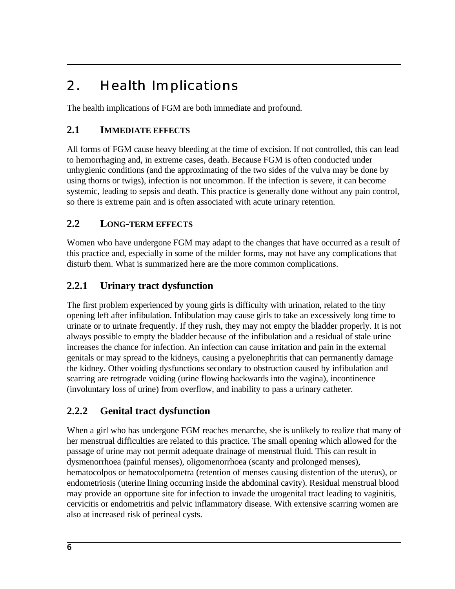# 2. Health Implications

The health implications of FGM are both immediate and profound.

# **2.1 IMMEDIATE EFFECTS**

All forms of FGM cause heavy bleeding at the time of excision. If not controlled, this can lead to hemorrhaging and, in extreme cases, death. Because FGM is often conducted under unhygienic conditions (and the approximating of the two sides of the vulva may be done by using thorns or twigs), infection is not uncommon. If the infection is severe, it can become systemic, leading to sepsis and death. This practice is generally done without any pain control, so there is extreme pain and is often associated with acute urinary retention.

## **2.2 LONG-TERM EFFECTS**

Women who have undergone FGM may adapt to the changes that have occurred as a result of this practice and, especially in some of the milder forms, may not have any complications that disturb them. What is summarized here are the more common complications.

# **2.2.1 Urinary tract dysfunction**

The first problem experienced by young girls is difficulty with urination, related to the tiny opening left after infibulation. Infibulation may cause girls to take an excessively long time to urinate or to urinate frequently. If they rush, they may not empty the bladder properly. It is not always possible to empty the bladder because of the infibulation and a residual of stale urine increases the chance for infection. An infection can cause irritation and pain in the external genitals or may spread to the kidneys, causing a pyelonephritis that can permanently damage the kidney. Other voiding dysfunctions secondary to obstruction caused by infibulation and scarring are retrograde voiding (urine flowing backwards into the vagina), incontinence (involuntary loss of urine) from overflow, and inability to pass a urinary catheter.

## **2.2.2 Genital tract dysfunction**

When a girl who has undergone FGM reaches menarche, she is unlikely to realize that many of her menstrual difficulties are related to this practice. The small opening which allowed for the passage of urine may not permit adequate drainage of menstrual fluid. This can result in dysmenorrhoea (painful menses), oligomenorrhoea (scanty and prolonged menses), hematocolpos or hematocolpometra (retention of menses causing distention of the uterus), or endometriosis (uterine lining occurring inside the abdominal cavity). Residual menstrual blood may provide an opportune site for infection to invade the urogenital tract leading to vaginitis, cervicitis or endometritis and pelvic inflammatory disease. With extensive scarring women are also at increased risk of perineal cysts.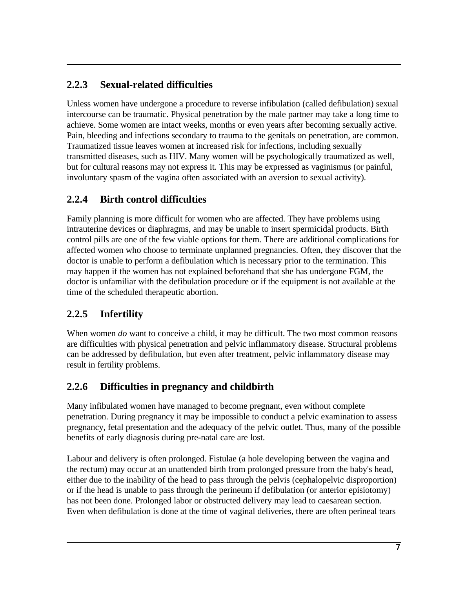# **2.2.3 Sexual-related difficulties**

Unless women have undergone a procedure to reverse infibulation (called defibulation) sexual intercourse can be traumatic. Physical penetration by the male partner may take a long time to achieve. Some women are intact weeks, months or even years after becoming sexually active. Pain, bleeding and infections secondary to trauma to the genitals on penetration, are common. Traumatized tissue leaves women at increased risk for infections, including sexually transmitted diseases, such as HIV. Many women will be psychologically traumatized as well, but for cultural reasons may not express it. This may be expressed as vaginismus (or painful, involuntary spasm of the vagina often associated with an aversion to sexual activity).

# **2.2.4 Birth control difficulties**

Family planning is more difficult for women who are affected. They have problems using intrauterine devices or diaphragms, and may be unable to insert spermicidal products. Birth control pills are one of the few viable options for them. There are additional complications for affected women who choose to terminate unplanned pregnancies. Often, they discover that the doctor is unable to perform a defibulation which is necessary prior to the termination. This may happen if the women has not explained beforehand that she has undergone FGM, the doctor is unfamiliar with the defibulation procedure or if the equipment is not available at the time of the scheduled therapeutic abortion.

## **2.2.5 Infertility**

When women *do* want to conceive a child, it may be difficult. The two most common reasons are difficulties with physical penetration and pelvic inflammatory disease. Structural problems can be addressed by defibulation, but even after treatment, pelvic inflammatory disease may result in fertility problems.

## **2.2.6 Difficulties in pregnancy and childbirth**

Many infibulated women have managed to become pregnant, even without complete penetration. During pregnancy it may be impossible to conduct a pelvic examination to assess pregnancy, fetal presentation and the adequacy of the pelvic outlet. Thus, many of the possible benefits of early diagnosis during pre-natal care are lost.

Labour and delivery is often prolonged. Fistulae (a hole developing between the vagina and the rectum) may occur at an unattended birth from prolonged pressure from the baby's head, either due to the inability of the head to pass through the pelvis (cephalopelvic disproportion) or if the head is unable to pass through the perineum if defibulation (or anterior episiotomy) has not been done. Prolonged labor or obstructed delivery may lead to caesarean section. Even when defibulation is done at the time of vaginal deliveries, there are often perineal tears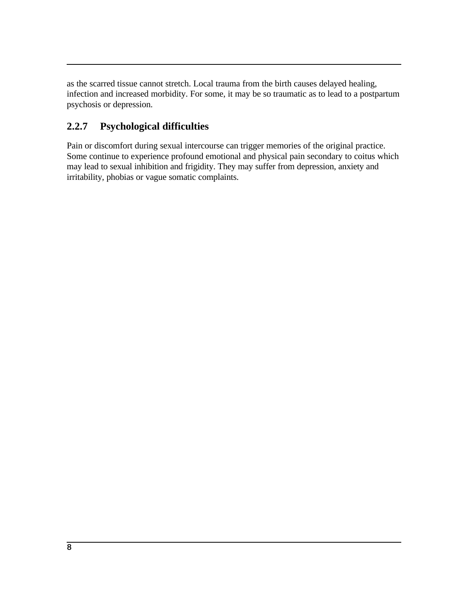as the scarred tissue cannot stretch. Local trauma from the birth causes delayed healing, infection and increased morbidity. For some, it may be so traumatic as to lead to a postpartum psychosis or depression.

## **2.2.7 Psychological difficulties**

Pain or discomfort during sexual intercourse can trigger memories of the original practice. Some continue to experience profound emotional and physical pain secondary to coitus which may lead to sexual inhibition and frigidity. They may suffer from depression, anxiety and irritability, phobias or vague somatic complaints.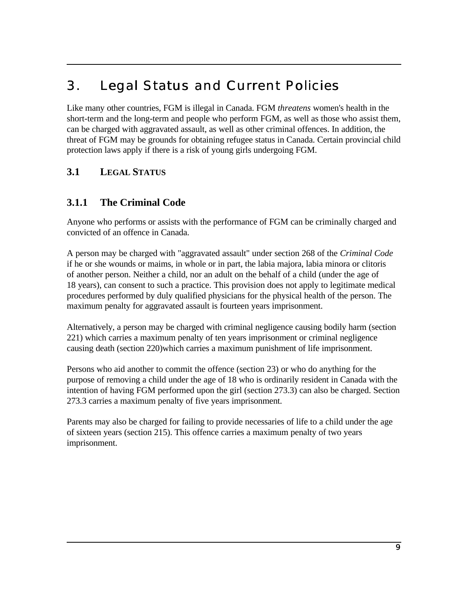# 3. Legal Status and Current Policies

Like many other countries, FGM is illegal in Canada. FGM *threatens* women's health in the short-term and the long-term and people who perform FGM, as well as those who assist them, can be charged with aggravated assault, as well as other criminal offences. In addition, the threat of FGM may be grounds for obtaining refugee status in Canada. Certain provincial child protection laws apply if there is a risk of young girls undergoing FGM.

## **3.1 LEGAL STATUS**

## **3.1.1 The Criminal Code**

Anyone who performs or assists with the performance of FGM can be criminally charged and convicted of an offence in Canada.

A person may be charged with "aggravated assault" under section 268 of the *Criminal Code* if he or she wounds or maims, in whole or in part, the labia majora, labia minora or clitoris of another person. Neither a child, nor an adult on the behalf of a child (under the age of 18 years), can consent to such a practice. This provision does not apply to legitimate medical procedures performed by duly qualified physicians for the physical health of the person. The maximum penalty for aggravated assault is fourteen years imprisonment.

Alternatively, a person may be charged with criminal negligence causing bodily harm (section 221) which carries a maximum penalty of ten years imprisonment or criminal negligence causing death (section 220)which carries a maximum punishment of life imprisonment.

Persons who aid another to commit the offence (section 23) or who do anything for the purpose of removing a child under the age of 18 who is ordinarily resident in Canada with the intention of having FGM performed upon the girl (section 273.3) can also be charged. Section 273.3 carries a maximum penalty of five years imprisonment.

Parents may also be charged for failing to provide necessaries of life to a child under the age of sixteen years (section 215). This offence carries a maximum penalty of two years imprisonment.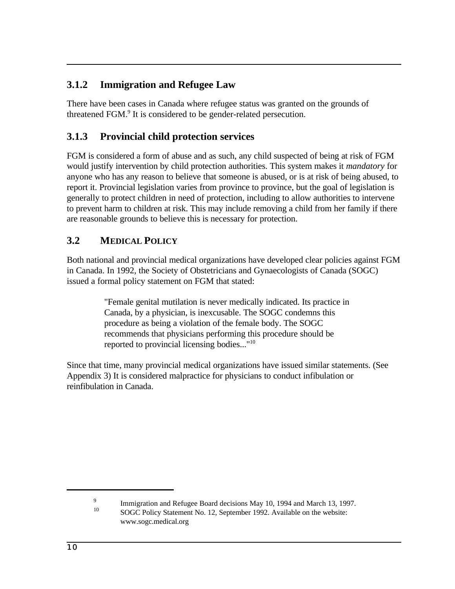## **3.1.2 Immigration and Refugee Law**

There have been cases in Canada where refugee status was granted on the grounds of threatened FGM.<sup>9</sup> It is considered to be gender-related persecution.

## **3.1.3 Provincial child protection services**

FGM is considered a form of abuse and as such, any child suspected of being at risk of FGM would justify intervention by child protection authorities. This system makes it *mandatory* for anyone who has any reason to believe that someone is abused, or is at risk of being abused, to report it. Provincial legislation varies from province to province, but the goal of legislation is generally to protect children in need of protection, including to allow authorities to intervene to prevent harm to children at risk. This may include removing a child from her family if there are reasonable grounds to believe this is necessary for protection.

## **3.2 MEDICAL POLICY**

Both national and provincial medical organizations have developed clear policies against FGM in Canada. In 1992, the Society of Obstetricians and Gynaecologists of Canada (SOGC) issued a formal policy statement on FGM that stated:

> "Female genital mutilation is never medically indicated. Its practice in Canada, by a physician, is inexcusable. The SOGC condemns this procedure as being a violation of the female body. The SOGC recommends that physicians performing this procedure should be reported to provincial licensing bodies..."<sup>10</sup>

Since that time, many provincial medical organizations have issued similar statements. (See Appendix 3) It is considered malpractice for physicians to conduct infibulation or reinfibulation in Canada.

<sup>9</sup> Immigration and Refugee Board decisions May 10, 1994 and March 13, 1997. <sup>10</sup> SOGC Policy Statement No. 12, September 1992. Available on the website: www.sogc.medical.org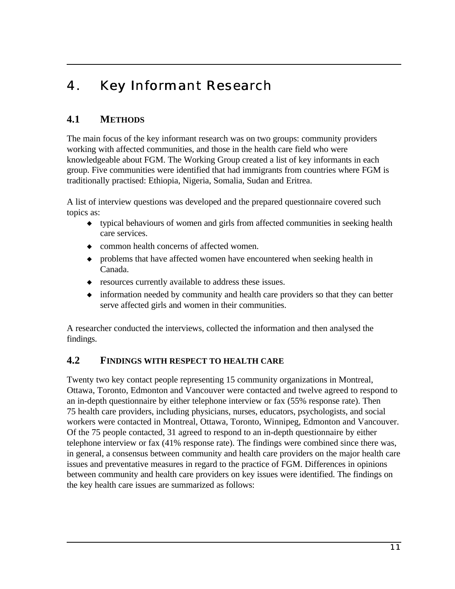# 4. Key Informant Research

## **4.1 METHODS**

The main focus of the key informant research was on two groups: community providers working with affected communities, and those in the health care field who were knowledgeable about FGM. The Working Group created a list of key informants in each group. Five communities were identified that had immigrants from countries where FGM is traditionally practised: Ethiopia, Nigeria, Somalia, Sudan and Eritrea.

A list of interview questions was developed and the prepared questionnaire covered such topics as:

- ó typical behaviours of women and girls from affected communities in seeking health care services.
- common health concerns of affected women.
- problems that have affected women have encountered when seeking health in Canada.
- ó resources currently available to address these issues.
- information needed by community and health care providers so that they can better serve affected girls and women in their communities.

A researcher conducted the interviews, collected the information and then analysed the findings.

## **4.2 FINDINGS WITH RESPECT TO HEALTH CARE**

Twenty two key contact people representing 15 community organizations in Montreal, Ottawa, Toronto, Edmonton and Vancouver were contacted and twelve agreed to respond to an in-depth questionnaire by either telephone interview or fax (55% response rate). Then 75 health care providers, including physicians, nurses, educators, psychologists, and social workers were contacted in Montreal, Ottawa, Toronto, Winnipeg, Edmonton and Vancouver. Of the 75 people contacted, 31 agreed to respond to an in-depth questionnaire by either telephone interview or fax (41% response rate). The findings were combined since there was, in general, a consensus between community and health care providers on the major health care issues and preventative measures in regard to the practice of FGM. Differences in opinions between community and health care providers on key issues were identified. The findings on the key health care issues are summarized as follows: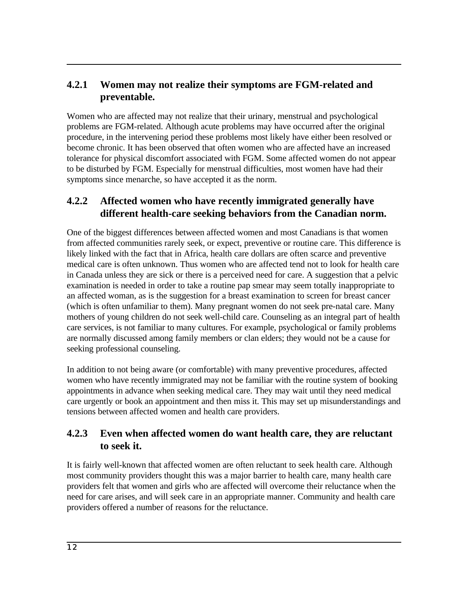## **4.2.1 Women may not realize their symptoms are FGM-related and preventable.**

Women who are affected may not realize that their urinary, menstrual and psychological problems are FGM-related. Although acute problems may have occurred after the original procedure, in the intervening period these problems most likely have either been resolved or become chronic. It has been observed that often women who are affected have an increased tolerance for physical discomfort associated with FGM. Some affected women do not appear to be disturbed by FGM. Especially for menstrual difficulties, most women have had their symptoms since menarche, so have accepted it as the norm.

## **4.2.2 Affected women who have recently immigrated generally have different health-care seeking behaviors from the Canadian norm.**

One of the biggest differences between affected women and most Canadians is that women from affected communities rarely seek, or expect, preventive or routine care. This difference is likely linked with the fact that in Africa, health care dollars are often scarce and preventive medical care is often unknown. Thus women who are affected tend not to look for health care in Canada unless they are sick or there is a perceived need for care. A suggestion that a pelvic examination is needed in order to take a routine pap smear may seem totally inappropriate to an affected woman, as is the suggestion for a breast examination to screen for breast cancer (which is often unfamiliar to them). Many pregnant women do not seek pre-natal care. Many mothers of young children do not seek well-child care. Counseling as an integral part of health care services, is not familiar to many cultures. For example, psychological or family problems are normally discussed among family members or clan elders; they would not be a cause for seeking professional counseling.

In addition to not being aware (or comfortable) with many preventive procedures, affected women who have recently immigrated may not be familiar with the routine system of booking appointments in advance when seeking medical care. They may wait until they need medical care urgently or book an appointment and then miss it. This may set up misunderstandings and tensions between affected women and health care providers.

## **4.2.3 Even when affected women do want health care, they are reluctant to seek it.**

It is fairly well-known that affected women are often reluctant to seek health care. Although most community providers thought this was a major barrier to health care, many health care providers felt that women and girls who are affected will overcome their reluctance when the need for care arises, and will seek care in an appropriate manner. Community and health care providers offered a number of reasons for the reluctance.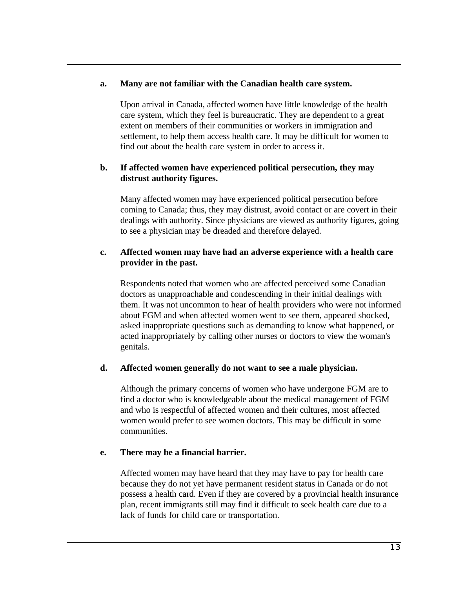#### **a. Many are not familiar with the Canadian health care system.**

Upon arrival in Canada, affected women have little knowledge of the health care system, which they feel is bureaucratic. They are dependent to a great extent on members of their communities or workers in immigration and settlement, to help them access health care. It may be difficult for women to find out about the health care system in order to access it.

#### **b. If affected women have experienced political persecution, they may distrust authority figures.**

Many affected women may have experienced political persecution before coming to Canada; thus, they may distrust, avoid contact or are covert in their dealings with authority. Since physicians are viewed as authority figures, going to see a physician may be dreaded and therefore delayed.

#### **c. Affected women may have had an adverse experience with a health care provider in the past.**

Respondents noted that women who are affected perceived some Canadian doctors as unapproachable and condescending in their initial dealings with them. It was not uncommon to hear of health providers who were not informed about FGM and when affected women went to see them, appeared shocked, asked inappropriate questions such as demanding to know what happened, or acted inappropriately by calling other nurses or doctors to view the woman's genitals.

#### **d. Affected women generally do not want to see a male physician.**

Although the primary concerns of women who have undergone FGM are to find a doctor who is knowledgeable about the medical management of FGM and who is respectful of affected women and their cultures, most affected women would prefer to see women doctors. This may be difficult in some communities.

#### **e. There may be a financial barrier.**

Affected women may have heard that they may have to pay for health care because they do not yet have permanent resident status in Canada or do not possess a health card. Even if they are covered by a provincial health insurance plan, recent immigrants still may find it difficult to seek health care due to a lack of funds for child care or transportation.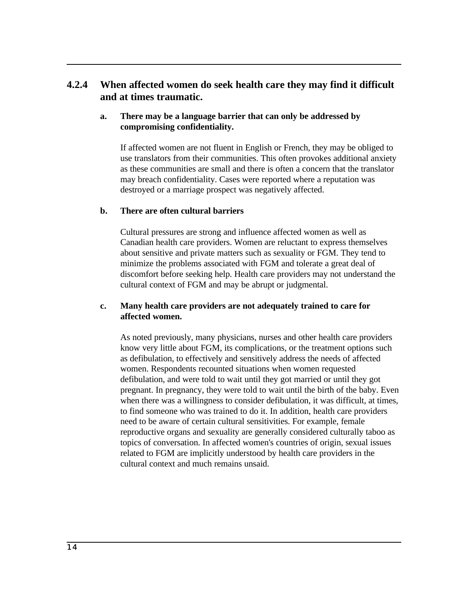## **4.2.4 When affected women do seek health care they may find it difficult and at times traumatic.**

#### **a. There may be a language barrier that can only be addressed by compromising confidentiality.**

If affected women are not fluent in English or French, they may be obliged to use translators from their communities. This often provokes additional anxiety as these communities are small and there is often a concern that the translator may breach confidentiality. Cases were reported where a reputation was destroyed or a marriage prospect was negatively affected.

#### **b. There are often cultural barriers**

Cultural pressures are strong and influence affected women as well as Canadian health care providers. Women are reluctant to express themselves about sensitive and private matters such as sexuality or FGM. They tend to minimize the problems associated with FGM and tolerate a great deal of discomfort before seeking help. Health care providers may not understand the cultural context of FGM and may be abrupt or judgmental.

#### **c. Many health care providers are not adequately trained to care for affected women.**

As noted previously, many physicians, nurses and other health care providers know very little about FGM, its complications, or the treatment options such as defibulation, to effectively and sensitively address the needs of affected women. Respondents recounted situations when women requested defibulation, and were told to wait until they got married or until they got pregnant. In pregnancy, they were told to wait until the birth of the baby. Even when there was a willingness to consider defibulation, it was difficult, at times, to find someone who was trained to do it. In addition, health care providers need to be aware of certain cultural sensitivities. For example, female reproductive organs and sexuality are generally considered culturally taboo as topics of conversation. In affected women's countries of origin, sexual issues related to FGM are implicitly understood by health care providers in the cultural context and much remains unsaid.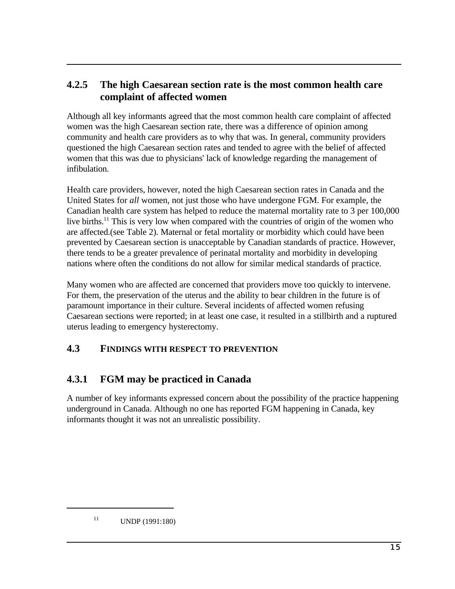## **4.2.5 The high Caesarean section rate is the most common health care complaint of affected women**

Although all key informants agreed that the most common health care complaint of affected women was the high Caesarean section rate, there was a difference of opinion among community and health care providers as to why that was. In general, community providers questioned the high Caesarean section rates and tended to agree with the belief of affected women that this was due to physicians' lack of knowledge regarding the management of infibulation.

Health care providers, however, noted the high Caesarean section rates in Canada and the United States for *all* women, not just those who have undergone FGM. For example, the Canadian health care system has helped to reduce the maternal mortality rate to 3 per 100,000 live births.<sup>11</sup> This is very low when compared with the countries of origin of the women who are affected.(see Table 2). Maternal or fetal mortality or morbidity which could have been prevented by Caesarean section is unacceptable by Canadian standards of practice. However, there tends to be a greater prevalence of perinatal mortality and morbidity in developing nations where often the conditions do not allow for similar medical standards of practice.

Many women who are affected are concerned that providers move too quickly to intervene. For them, the preservation of the uterus and the ability to bear children in the future is of paramount importance in their culture. Several incidents of affected women refusing Caesarean sections were reported; in at least one case, it resulted in a stillbirth and a ruptured uterus leading to emergency hysterectomy.

## **4.3 FINDINGS WITH RESPECT TO PREVENTION**

# **4.3.1 FGM may be practiced in Canada**

A number of key informants expressed concern about the possibility of the practice happening underground in Canada. Although no one has reported FGM happening in Canada, key informants thought it was not an unrealistic possibility.

 $11$  UNDP (1991:180)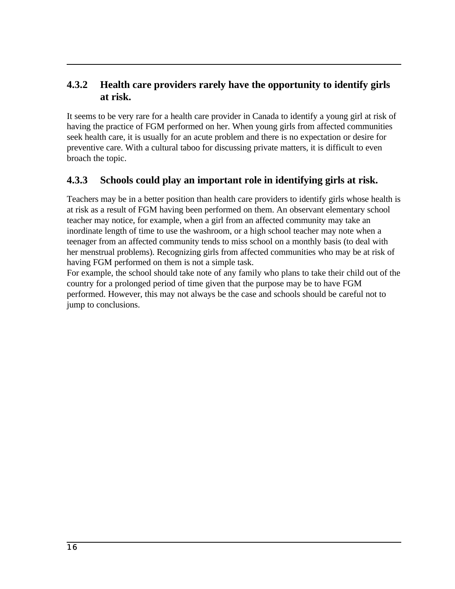## **4.3.2 Health care providers rarely have the opportunity to identify girls at risk.**

It seems to be very rare for a health care provider in Canada to identify a young girl at risk of having the practice of FGM performed on her. When young girls from affected communities seek health care, it is usually for an acute problem and there is no expectation or desire for preventive care. With a cultural taboo for discussing private matters, it is difficult to even broach the topic.

## **4.3.3 Schools could play an important role in identifying girls at risk.**

Teachers may be in a better position than health care providers to identify girls whose health is at risk as a result of FGM having been performed on them. An observant elementary school teacher may notice, for example, when a girl from an affected community may take an inordinate length of time to use the washroom, or a high school teacher may note when a teenager from an affected community tends to miss school on a monthly basis (to deal with her menstrual problems). Recognizing girls from affected communities who may be at risk of having FGM performed on them is not a simple task.

For example, the school should take note of any family who plans to take their child out of the country for a prolonged period of time given that the purpose may be to have FGM performed. However, this may not always be the case and schools should be careful not to jump to conclusions.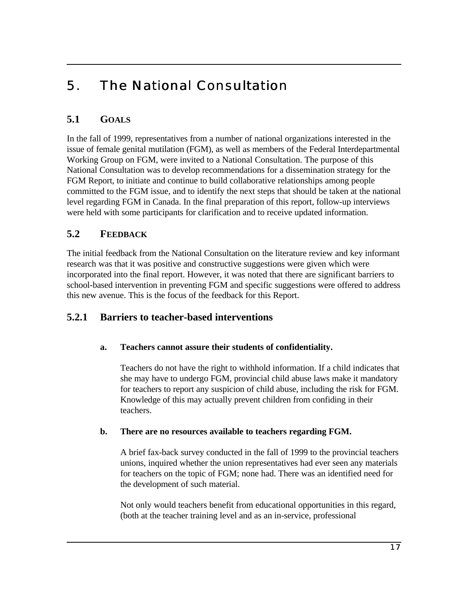# 5. The National Consultation

# **5.1 GOALS**

In the fall of 1999, representatives from a number of national organizations interested in the issue of female genital mutilation (FGM), as well as members of the Federal Interdepartmental Working Group on FGM, were invited to a National Consultation. The purpose of this National Consultation was to develop recommendations for a dissemination strategy for the FGM Report, to initiate and continue to build collaborative relationships among people committed to the FGM issue, and to identify the next steps that should be taken at the national level regarding FGM in Canada. In the final preparation of this report, follow-up interviews were held with some participants for clarification and to receive updated information.

## **5.2 FEEDBACK**

The initial feedback from the National Consultation on the literature review and key informant research was that it was positive and constructive suggestions were given which were incorporated into the final report. However, it was noted that there are significant barriers to school-based intervention in preventing FGM and specific suggestions were offered to address this new avenue. This is the focus of the feedback for this Report.

## **5.2.1 Barriers to teacher-based interventions**

## **a. Teachers cannot assure their students of confidentiality.**

Teachers do not have the right to withhold information. If a child indicates that she may have to undergo FGM, provincial child abuse laws make it mandatory for teachers to report any suspicion of child abuse, including the risk for FGM. Knowledge of this may actually prevent children from confiding in their teachers.

#### **b. There are no resources available to teachers regarding FGM.**

A brief fax-back survey conducted in the fall of 1999 to the provincial teachers unions, inquired whether the union representatives had ever seen any materials for teachers on the topic of FGM; none had. There was an identified need for the development of such material.

Not only would teachers benefit from educational opportunities in this regard, (both at the teacher training level and as an in-service, professional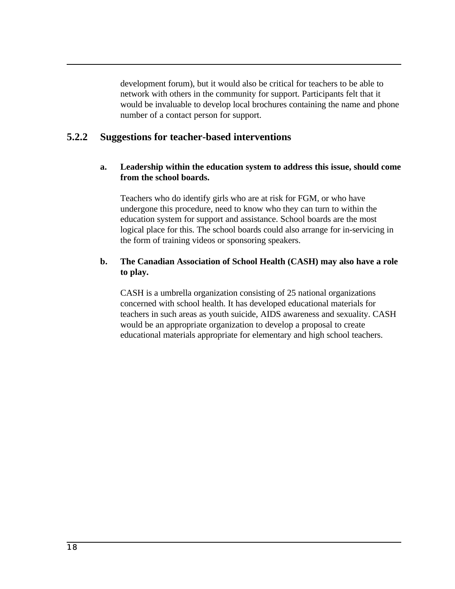development forum), but it would also be critical for teachers to be able to network with others in the community for support. Participants felt that it would be invaluable to develop local brochures containing the name and phone number of a contact person for support.

## **5.2.2 Suggestions for teacher-based interventions**

#### **a. Leadership within the education system to address this issue, should come from the school boards.**

Teachers who do identify girls who are at risk for FGM, or who have undergone this procedure, need to know who they can turn to within the education system for support and assistance. School boards are the most logical place for this. The school boards could also arrange for in-servicing in the form of training videos or sponsoring speakers.

#### **b. The Canadian Association of School Health (CASH) may also have a role to play.**

CASH is a umbrella organization consisting of 25 national organizations concerned with school health. It has developed educational materials for teachers in such areas as youth suicide, AIDS awareness and sexuality. CASH would be an appropriate organization to develop a proposal to create educational materials appropriate for elementary and high school teachers.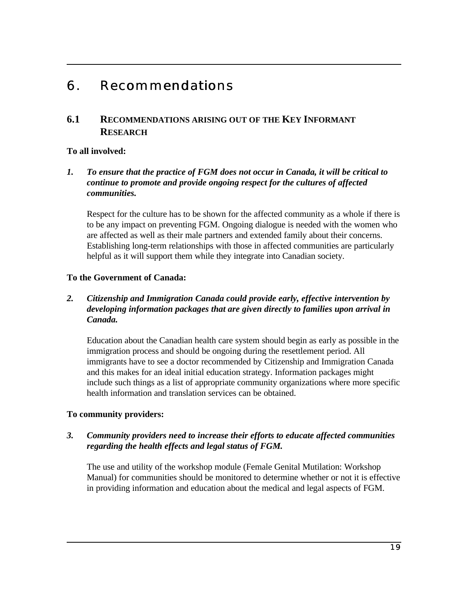# 6. Recommendations

## **6.1 RECOMMENDATIONS ARISING OUT OF THE KEY INFORMANT RESEARCH**

### **To all involved:**

*1. To ensure that the practice of FGM does not occur in Canada, it will be critical to continue to promote and provide ongoing respect for the cultures of affected communities.*

Respect for the culture has to be shown for the affected community as a whole if there is to be any impact on preventing FGM. Ongoing dialogue is needed with the women who are affected as well as their male partners and extended family about their concerns. Establishing long-term relationships with those in affected communities are particularly helpful as it will support them while they integrate into Canadian society.

### **To the Government of Canada:**

### *2. Citizenship and Immigration Canada could provide early, effective intervention by developing information packages that are given directly to families upon arrival in Canada.*

Education about the Canadian health care system should begin as early as possible in the immigration process and should be ongoing during the resettlement period. All immigrants have to see a doctor recommended by Citizenship and Immigration Canada and this makes for an ideal initial education strategy. Information packages might include such things as a list of appropriate community organizations where more specific health information and translation services can be obtained.

## **To community providers:**

### *3. Community providers need to increase their efforts to educate affected communities regarding the health effects and legal status of FGM.*

The use and utility of the workshop module (Female Genital Mutilation: Workshop Manual) for communities should be monitored to determine whether or not it is effective in providing information and education about the medical and legal aspects of FGM.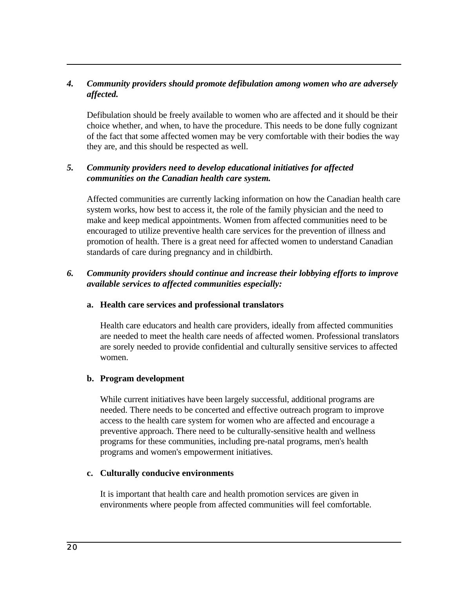### *4. Community providers should promote defibulation among women who are adversely affected.*

Defibulation should be freely available to women who are affected and it should be their choice whether, and when, to have the procedure. This needs to be done fully cognizant of the fact that some affected women may be very comfortable with their bodies the way they are, and this should be respected as well.

### *5. Community providers need to develop educational initiatives for affected communities on the Canadian health care system.*

Affected communities are currently lacking information on how the Canadian health care system works, how best to access it, the role of the family physician and the need to make and keep medical appointments. Women from affected communities need to be encouraged to utilize preventive health care services for the prevention of illness and promotion of health. There is a great need for affected women to understand Canadian standards of care during pregnancy and in childbirth.

#### *6. Community providers should continue and increase their lobbying efforts to improve available services to affected communities especially:*

#### **a. Health care services and professional translators**

Health care educators and health care providers, ideally from affected communities are needed to meet the health care needs of affected women. Professional translators are sorely needed to provide confidential and culturally sensitive services to affected women.

#### **b. Program development**

While current initiatives have been largely successful, additional programs are needed. There needs to be concerted and effective outreach program to improve access to the health care system for women who are affected and encourage a preventive approach. There need to be culturally-sensitive health and wellness programs for these communities, including pre-natal programs, men's health programs and women's empowerment initiatives.

#### **c. Culturally conducive environments**

It is important that health care and health promotion services are given in environments where people from affected communities will feel comfortable.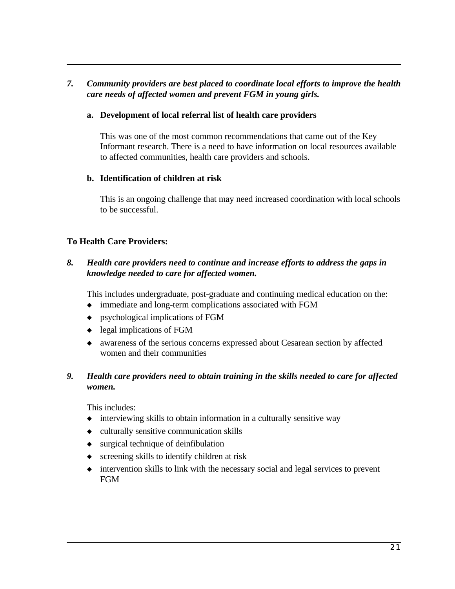### *7. Community providers are best placed to coordinate local efforts to improve the health care needs of affected women and prevent FGM in young girls.*

#### **a. Development of local referral list of health care providers**

This was one of the most common recommendations that came out of the Key Informant research. There is a need to have information on local resources available to affected communities, health care providers and schools.

#### **b. Identification of children at risk**

This is an ongoing challenge that may need increased coordination with local schools to be successful.

#### **To Health Care Providers:**

### *8. Health care providers need to continue and increase efforts to address the gaps in knowledge needed to care for affected women.*

This includes undergraduate, post-graduate and continuing medical education on the:

- ó immediate and long-term complications associated with FGM
- $\bullet$  psychological implications of FGM
- $\bullet$  legal implications of FGM
- ó awareness of the serious concerns expressed about Cesarean section by affected women and their communities

#### *9. Health care providers need to obtain training in the skills needed to care for affected women.*

This includes:

- $\bullet$  interviewing skills to obtain information in a culturally sensitive way
- $\bullet$  culturally sensitive communication skills
- surgical technique of deinfibulation
- $\bullet$  screening skills to identify children at risk
- $\bullet$  intervention skills to link with the necessary social and legal services to prevent FGM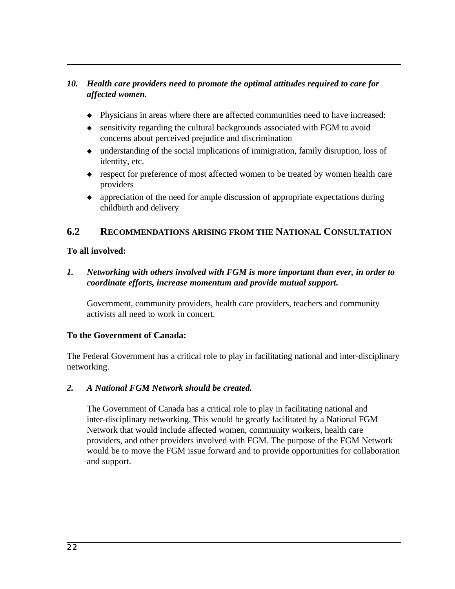## *10. Health care providers need to promote the optimal attitudes required to care for affected women.*

- ó Physicians in areas where there are affected communities need to have increased:
- $\bullet$  sensitivity regarding the cultural backgrounds associated with FGM to avoid concerns about perceived prejudice and discrimination
- ó understanding of the social implications of immigration, family disruption, loss of identity, etc.
- respect for preference of most affected women to be treated by women health care providers
- appreciation of the need for ample discussion of appropriate expectations during childbirth and delivery

## **6.2 RECOMMENDATIONS ARISING FROM THE NATIONAL CONSULTATION**

### **To all involved:**

*1. Networking with others involved with FGM is more important than ever, in order to coordinate efforts, increase momentum and provide mutual support.*

Government, community providers, health care providers, teachers and community activists all need to work in concert.

#### **To the Government of Canada:**

The Federal Government has a critical role to play in facilitating national and inter-disciplinary networking.

#### *2. A National FGM Network should be created.*

The Government of Canada has a critical role to play in facilitating national and inter-disciplinary networking. This would be greatly facilitated by a National FGM Network that would include affected women, community workers, health care providers, and other providers involved with FGM. The purpose of the FGM Network would be to move the FGM issue forward and to provide opportunities for collaboration and support.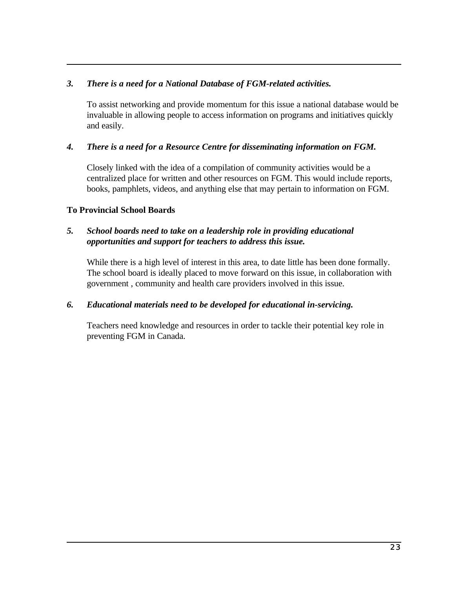### *3. There is a need for a National Database of FGM-related activities.*

To assist networking and provide momentum for this issue a national database would be invaluable in allowing people to access information on programs and initiatives quickly and easily.

### *4. There is a need for a Resource Centre for disseminating information on FGM.*

Closely linked with the idea of a compilation of community activities would be a centralized place for written and other resources on FGM. This would include reports, books, pamphlets, videos, and anything else that may pertain to information on FGM.

### **To Provincial School Boards**

#### *5. School boards need to take on a leadership role in providing educational opportunities and support for teachers to address this issue.*

While there is a high level of interest in this area, to date little has been done formally. The school board is ideally placed to move forward on this issue, in collaboration with government , community and health care providers involved in this issue.

#### *6. Educational materials need to be developed for educational in-servicing.*

Teachers need knowledge and resources in order to tackle their potential key role in preventing FGM in Canada.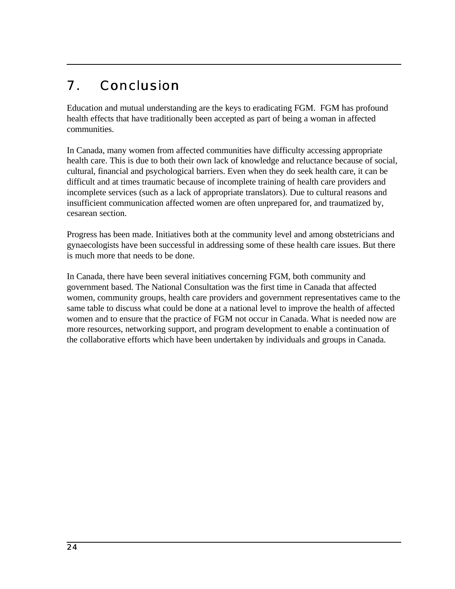# 7. Conclusion

Education and mutual understanding are the keys to eradicating FGM. FGM has profound health effects that have traditionally been accepted as part of being a woman in affected communities.

In Canada, many women from affected communities have difficulty accessing appropriate health care. This is due to both their own lack of knowledge and reluctance because of social, cultural, financial and psychological barriers. Even when they do seek health care, it can be difficult and at times traumatic because of incomplete training of health care providers and incomplete services (such as a lack of appropriate translators). Due to cultural reasons and insufficient communication affected women are often unprepared for, and traumatized by, cesarean section.

Progress has been made. Initiatives both at the community level and among obstetricians and gynaecologists have been successful in addressing some of these health care issues. But there is much more that needs to be done.

In Canada, there have been several initiatives concerning FGM, both community and government based. The National Consultation was the first time in Canada that affected women, community groups, health care providers and government representatives came to the same table to discuss what could be done at a national level to improve the health of affected women and to ensure that the practice of FGM not occur in Canada. What is needed now are more resources, networking support, and program development to enable a continuation of the collaborative efforts which have been undertaken by individuals and groups in Canada.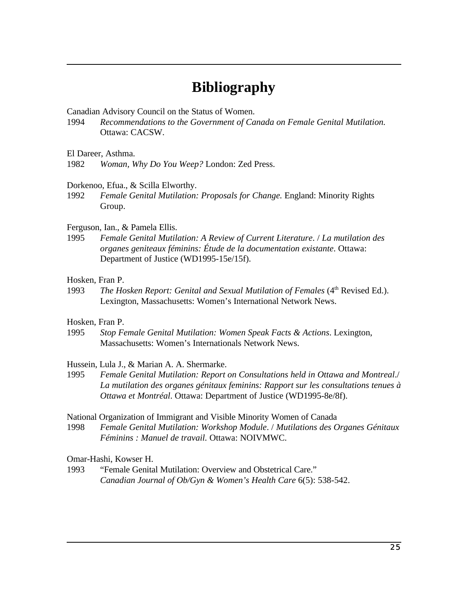# **Bibliography**

Canadian Advisory Council on the Status of Women.

1994 *Recommendations to the Government of Canada on Female Genital Mutilation.* Ottawa: CACSW.

El Dareer, Asthma.

1982 *Woman, Why Do You Weep?* London: Zed Press.

#### Dorkenoo, Efua., & Scilla Elworthy.

1992 *Female Genital Mutilation: Proposals for Change.* England: Minority Rights Group.

#### Ferguson, Ian., & Pamela Ellis.

1995 *Female Genital Mutilation: A Review of Current Literature*. / *La mutilation des organes geniteaux féminins: Étude de la documentation existante*. Ottawa: Department of Justice (WD1995-15e/15f).

#### Hosken, Fran P.

1993 *The Hosken Report: Genital and Sexual Mutilation of Females* (4<sup>th</sup> Revised Ed.). Lexington, Massachusetts: Women's International Network News.

#### Hosken, Fran P.

1995 *Stop Female Genital Mutilation: Women Speak Facts & Actions*. Lexington, Massachusetts: Women's Internationals Network News.

Hussein, Lula J., & Marian A. A. Shermarke.

1995 *Female Genital Mutilation: Report on Consultations held in Ottawa and Montreal*./ *La mutilation des organes génitaux feminins: Rapport sur les consultations tenues à Ottawa et Montréal*. Ottawa: Department of Justice (WD1995-8e/8f).

National Organization of Immigrant and Visible Minority Women of Canada

1998 *Female Genital Mutilation: Workshop Module*. / *Mutilations des Organes Génitaux Féminins : Manuel de travail.* Ottawa: NOIVMWC.

#### Omar-Hashi, Kowser H.

1993 "Female Genital Mutilation: Overview and Obstetrical Care." *Canadian Journal of Ob/Gyn & Women's Health Care* 6(5): 538-542.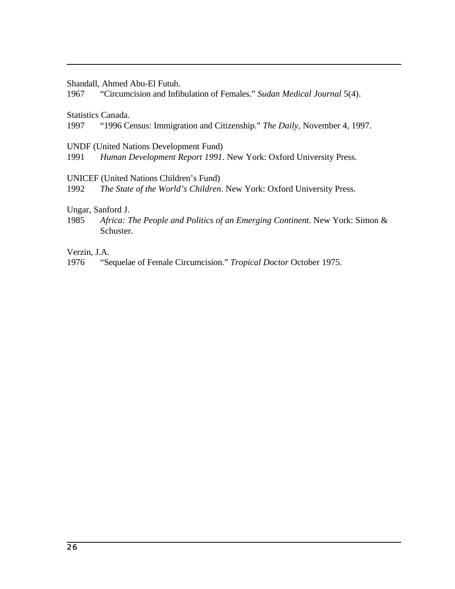Shandall, Ahmed Abu-El Futuh.

1967 "Circumcision and Infibulation of Females." *Sudan Medical Journal* 5(4).

Statistics Canada.

1997 "1996 Census: Immigration and Citizenship." *The Daily*, November 4, 1997.

UNDF (United Nations Development Fund)

1991 *Human Development Report 1991*. New York: Oxford University Press.

UNICEF (United Nations Children's Fund)

1992 *The State of the World's Children*. New York: Oxford University Press.

Ungar, Sanford J.

1985 *Africa: The People and Politics of an Emerging Continent*. New York: Simon & Schuster.

Verzin, J.A.

1976 "Sequelae of Female Circumcision." *Tropical Doctor* October 1975.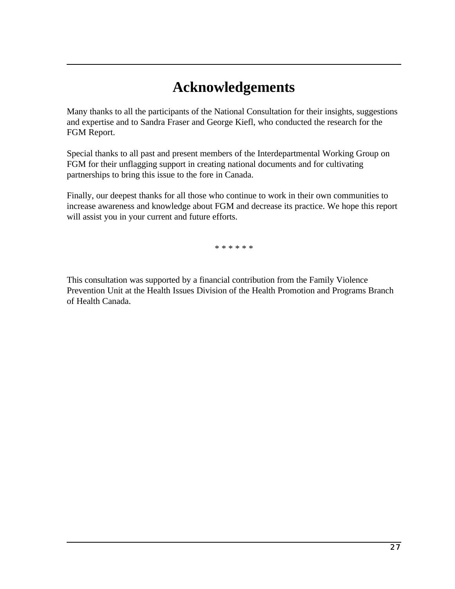# **Acknowledgements**

Many thanks to all the participants of the National Consultation for their insights, suggestions and expertise and to Sandra Fraser and George Kiefl, who conducted the research for the FGM Report.

Special thanks to all past and present members of the Interdepartmental Working Group on FGM for their unflagging support in creating national documents and for cultivating partnerships to bring this issue to the fore in Canada.

Finally, our deepest thanks for all those who continue to work in their own communities to increase awareness and knowledge about FGM and decrease its practice. We hope this report will assist you in your current and future efforts.

\* \* \* \* \* \*

This consultation was supported by a financial contribution from the Family Violence Prevention Unit at the Health Issues Division of the Health Promotion and Programs Branch of Health Canada.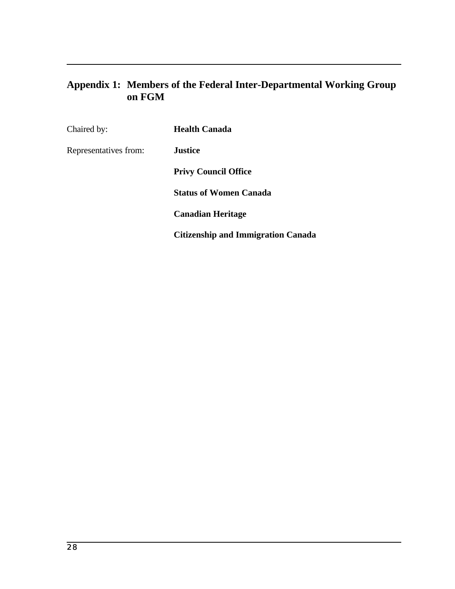# **Appendix 1: Members of the Federal Inter-Departmental Working Group on FGM**

| Chaired by:           | <b>Health Canada</b>                      |
|-----------------------|-------------------------------------------|
| Representatives from: | <b>Justice</b>                            |
|                       | <b>Privy Council Office</b>               |
|                       | <b>Status of Women Canada</b>             |
|                       | <b>Canadian Heritage</b>                  |
|                       | <b>Citizenship and Immigration Canada</b> |
|                       |                                           |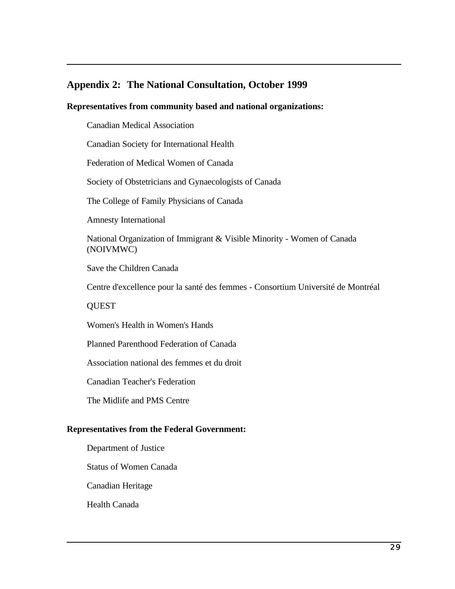## **Appendix 2: The National Consultation, October 1999**

#### **Representatives from community based and national organizations:**

Canadian Medical Association

Canadian Society for International Health

Federation of Medical Women of Canada

Society of Obstetricians and Gynaecologists of Canada

The College of Family Physicians of Canada

Amnesty International

National Organization of Immigrant & Visible Minority - Women of Canada (NOIVMWC)

Save the Children Canada

Centre d'excellence pour la santé des femmes - Consortium Université de Montréal

**QUEST** 

Women's Health in Women's Hands

Planned Parenthood Federation of Canada

Association national des femmes et du droit

Canadian Teacher's Federation

The Midlife and PMS Centre

#### **Representatives from the Federal Government:**

Department of Justice

Status of Women Canada

Canadian Heritage

Health Canada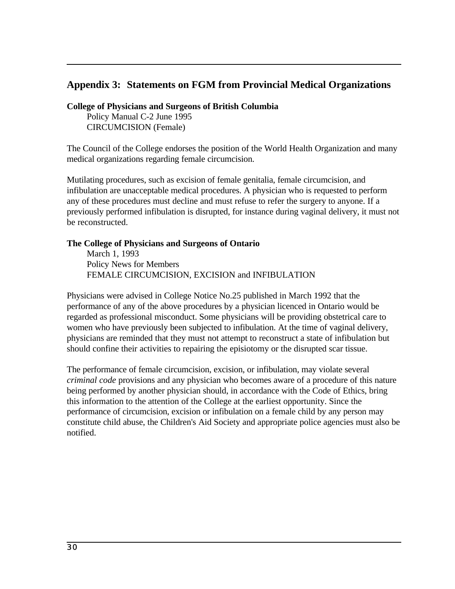## **Appendix 3: Statements on FGM from Provincial Medical Organizations**

**College of Physicians and Surgeons of British Columbia**

Policy Manual C-2 June 1995 CIRCUMCISION (Female)

The Council of the College endorses the position of the World Health Organization and many medical organizations regarding female circumcision.

Mutilating procedures, such as excision of female genitalia, female circumcision, and infibulation are unacceptable medical procedures. A physician who is requested to perform any of these procedures must decline and must refuse to refer the surgery to anyone. If a previously performed infibulation is disrupted, for instance during vaginal delivery, it must not be reconstructed.

#### **The College of Physicians and Surgeons of Ontario**

March 1, 1993 Policy News for Members FEMALE CIRCUMCISION, EXCISION and INFIBULATION

Physicians were advised in College Notice No.25 published in March 1992 that the performance of any of the above procedures by a physician licenced in Ontario would be regarded as professional misconduct. Some physicians will be providing obstetrical care to women who have previously been subjected to infibulation. At the time of vaginal delivery, physicians are reminded that they must not attempt to reconstruct a state of infibulation but should confine their activities to repairing the episiotomy or the disrupted scar tissue.

The performance of female circumcision, excision, or infibulation, may violate several *criminal code* provisions and any physician who becomes aware of a procedure of this nature being performed by another physician should, in accordance with the Code of Ethics, bring this information to the attention of the College at the earliest opportunity. Since the performance of circumcision, excision or infibulation on a female child by any person may constitute child abuse, the Children's Aid Society and appropriate police agencies must also be notified.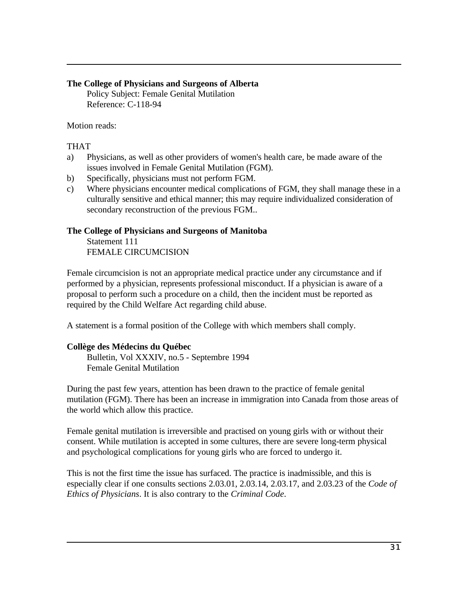#### **The College of Physicians and Surgeons of Alberta**

Policy Subject: Female Genital Mutilation Reference: C-118-94

Motion reads:

#### THAT

- a) Physicians, as well as other providers of women's health care, be made aware of the issues involved in Female Genital Mutilation (FGM).
- b) Specifically, physicians must not perform FGM.
- c) Where physicians encounter medical complications of FGM, they shall manage these in a culturally sensitive and ethical manner; this may require individualized consideration of secondary reconstruction of the previous FGM..

#### **The College of Physicians and Surgeons of Manitoba**

Statement 111 FEMALE CIRCUMCISION

Female circumcision is not an appropriate medical practice under any circumstance and if performed by a physician, represents professional misconduct. If a physician is aware of a proposal to perform such a procedure on a child, then the incident must be reported as required by the Child Welfare Act regarding child abuse.

A statement is a formal position of the College with which members shall comply.

## **Collège des Médecins du Québec**

Bulletin, Vol XXXIV, no.5 - Septembre 1994 Female Genital Mutilation

During the past few years, attention has been drawn to the practice of female genital mutilation (FGM). There has been an increase in immigration into Canada from those areas of the world which allow this practice.

Female genital mutilation is irreversible and practised on young girls with or without their consent. While mutilation is accepted in some cultures, there are severe long-term physical and psychological complications for young girls who are forced to undergo it.

This is not the first time the issue has surfaced. The practice is inadmissible, and this is especially clear if one consults sections 2.03.01, 2.03.14, 2.03.17, and 2.03.23 of the *Code of Ethics of Physicians*. It is also contrary to the *Criminal Code*.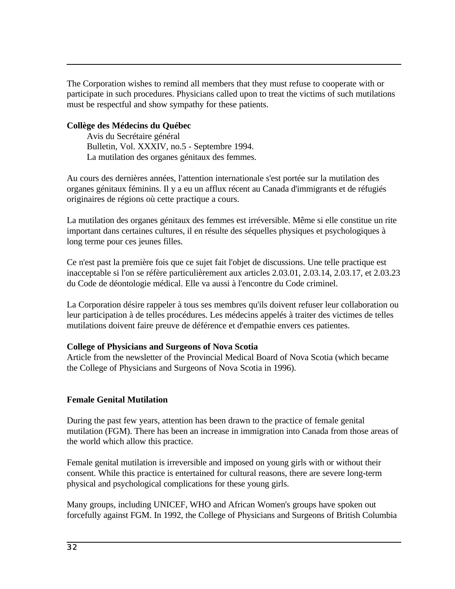The Corporation wishes to remind all members that they must refuse to cooperate with or participate in such procedures. Physicians called upon to treat the victims of such mutilations must be respectful and show sympathy for these patients.

#### **Collège des Médecins du Québec**

Avis du Secrétaire général Bulletin, Vol. XXXIV, no.5 - Septembre 1994. La mutilation des organes génitaux des femmes.

Au cours des dernières années, l'attention internationale s'est portée sur la mutilation des organes génitaux féminins. Il y a eu un afflux récent au Canada d'immigrants et de réfugiés originaires de régions où cette practique a cours.

La mutilation des organes génitaux des femmes est irréversible. Même si elle constitue un rite important dans certaines cultures, il en résulte des séquelles physiques et psychologiques à long terme pour ces jeunes filles.

Ce n'est past la première fois que ce sujet fait l'objet de discussions. Une telle practique est inacceptable si l'on se réfère particulièrement aux articles 2.03.01, 2.03.14, 2.03.17, et 2.03.23 du Code de déontologie médical. Elle va aussi à l'encontre du Code criminel.

La Corporation désire rappeler à tous ses membres qu'ils doivent refuser leur collaboration ou leur participation à de telles procédures. Les médecins appelés à traiter des victimes de telles mutilations doivent faire preuve de déférence et d'empathie envers ces patientes.

#### **College of Physicians and Surgeons of Nova Scotia**

Article from the newsletter of the Provincial Medical Board of Nova Scotia (which became the College of Physicians and Surgeons of Nova Scotia in 1996).

## **Female Genital Mutilation**

During the past few years, attention has been drawn to the practice of female genital mutilation (FGM). There has been an increase in immigration into Canada from those areas of the world which allow this practice.

Female genital mutilation is irreversible and imposed on young girls with or without their consent. While this practice is entertained for cultural reasons, there are severe long-term physical and psychological complications for these young girls.

Many groups, including UNICEF, WHO and African Women's groups have spoken out forcefully against FGM. In 1992, the College of Physicians and Surgeons of British Columbia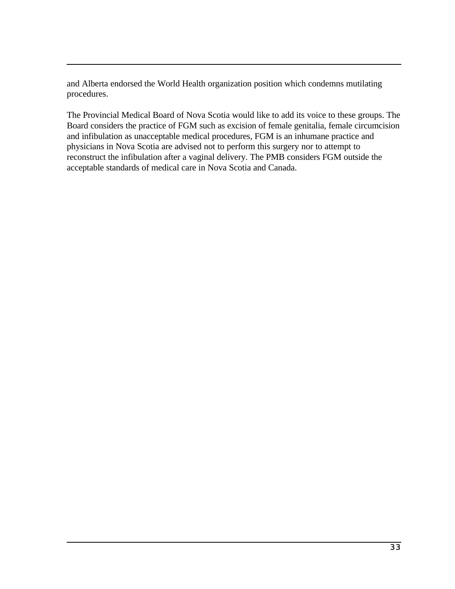and Alberta endorsed the World Health organization position which condemns mutilating procedures.

The Provincial Medical Board of Nova Scotia would like to add its voice to these groups. The Board considers the practice of FGM such as excision of female genitalia, female circumcision and infibulation as unacceptable medical procedures, FGM is an inhumane practice and physicians in Nova Scotia are advised not to perform this surgery nor to attempt to reconstruct the infibulation after a vaginal delivery. The PMB considers FGM outside the acceptable standards of medical care in Nova Scotia and Canada.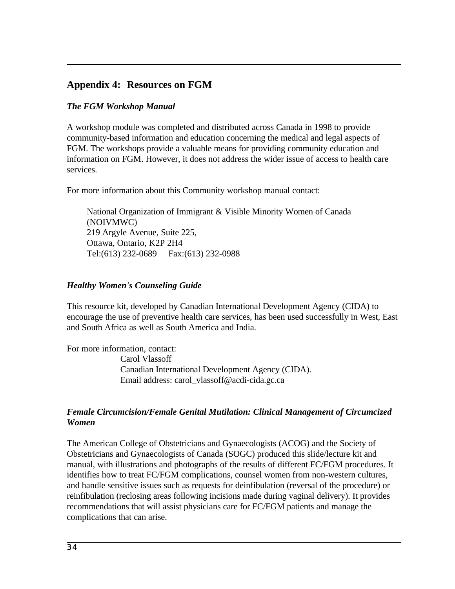## **Appendix 4: Resources on FGM**

### *The FGM Workshop Manual*

A workshop module was completed and distributed across Canada in 1998 to provide community-based information and education concerning the medical and legal aspects of FGM. The workshops provide a valuable means for providing community education and information on FGM. However, it does not address the wider issue of access to health care services.

For more information about this Community workshop manual contact:

National Organization of Immigrant & Visible Minority Women of Canada (NOIVMWC) 219 Argyle Avenue, Suite 225, Ottawa, Ontario, K2P 2H4 Tel:(613) 232-0689 Fax:(613) 232-0988

#### *Healthy Women's Counseling Guide*

This resource kit, developed by Canadian International Development Agency (CIDA) to encourage the use of preventive health care services, has been used successfully in West, East and South Africa as well as South America and India.

For more information, contact: Carol Vlassoff Canadian International Development Agency (CIDA). Email address: carol\_vlassoff@acdi-cida.gc.ca

### *Female Circumcision/Female Genital Mutilation: Clinical Management of Circumcized Women*

The American College of Obstetricians and Gynaecologists (ACOG) and the Society of Obstetricians and Gynaecologists of Canada (SOGC) produced this slide/lecture kit and manual, with illustrations and photographs of the results of different FC/FGM procedures. It identifies how to treat FC/FGM complications, counsel women from non-western cultures, and handle sensitive issues such as requests for deinfibulation (reversal of the procedure) or reinfibulation (reclosing areas following incisions made during vaginal delivery). It provides recommendations that will assist physicians care for FC/FGM patients and manage the complications that can arise.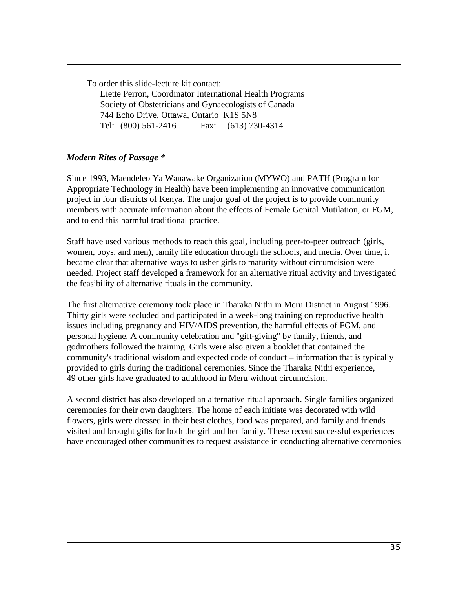To order this slide-lecture kit contact:

Liette Perron, Coordinator International Health Programs Society of Obstetricians and Gynaecologists of Canada 744 Echo Drive, Ottawa, Ontario K1S 5N8 Tel: (800) 561-2416 Fax: (613) 730-4314

### *Modern Rites of Passage \**

Since 1993, Maendeleo Ya Wanawake Organization (MYWO) and PATH (Program for Appropriate Technology in Health) have been implementing an innovative communication project in four districts of Kenya. The major goal of the project is to provide community members with accurate information about the effects of Female Genital Mutilation, or FGM, and to end this harmful traditional practice.

Staff have used various methods to reach this goal, including peer-to-peer outreach (girls, women, boys, and men), family life education through the schools, and media. Over time, it became clear that alternative ways to usher girls to maturity without circumcision were needed. Project staff developed a framework for an alternative ritual activity and investigated the feasibility of alternative rituals in the community.

The first alternative ceremony took place in Tharaka Nithi in Meru District in August 1996. Thirty girls were secluded and participated in a week-long training on reproductive health issues including pregnancy and HIV/AIDS prevention, the harmful effects of FGM, and personal hygiene. A community celebration and "gift-giving" by family, friends, and godmothers followed the training. Girls were also given a booklet that contained the community's traditional wisdom and expected code of conduct – information that is typically provided to girls during the traditional ceremonies. Since the Tharaka Nithi experience, 49 other girls have graduated to adulthood in Meru without circumcision.

A second district has also developed an alternative ritual approach. Single families organized ceremonies for their own daughters. The home of each initiate was decorated with wild flowers, girls were dressed in their best clothes, food was prepared, and family and friends visited and brought gifts for both the girl and her family. These recent successful experiences have encouraged other communities to request assistance in conducting alternative ceremonies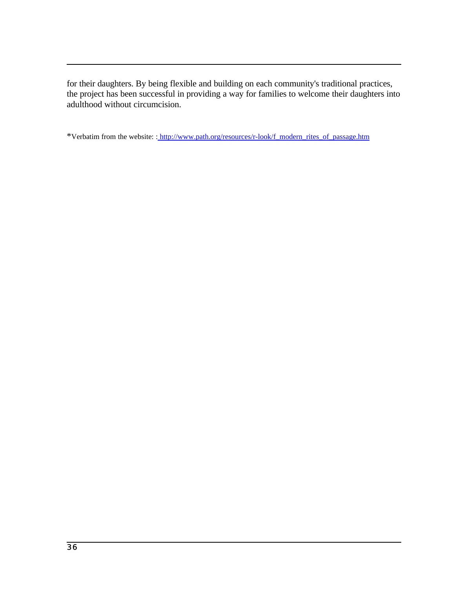for their daughters. By being flexible and building on each community's traditional practices, the project has been successful in providing a way for families to welcome their daughters into adulthood without circumcision.

\*Verbatim from the website: : http://www.path.org/resources/r-look/f\_modern\_rites\_of\_passage.htm